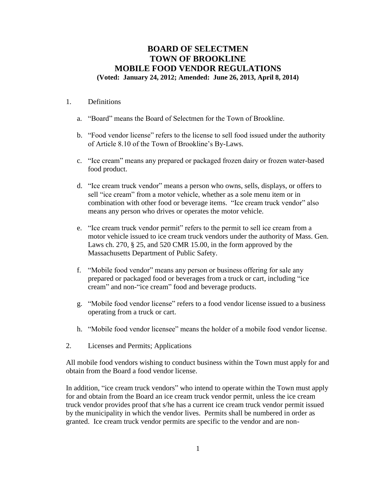# **BOARD OF SELECTMEN TOWN OF BROOKLINE MOBILE FOOD VENDOR REGULATIONS (Voted: January 24, 2012; Amended: June 26, 2013, April 8, 2014)**

#### 1. Definitions

- a. "Board" means the Board of Selectmen for the Town of Brookline.
- b. "Food vendor license" refers to the license to sell food issued under the authority of Article 8.10 of the Town of Brookline's By-Laws.
- c. "Ice cream" means any prepared or packaged frozen dairy or frozen water-based food product.
- d. "Ice cream truck vendor" means a person who owns, sells, displays, or offers to sell "ice cream" from a motor vehicle, whether as a sole menu item or in combination with other food or beverage items. "Ice cream truck vendor" also means any person who drives or operates the motor vehicle.
- e. "Ice cream truck vendor permit" refers to the permit to sell ice cream from a motor vehicle issued to ice cream truck vendors under the authority of Mass. Gen. Laws ch. 270, § 25, and 520 CMR 15.00, in the form approved by the Massachusetts Department of Public Safety.
- f. "Mobile food vendor" means any person or business offering for sale any prepared or packaged food or beverages from a truck or cart, including "ice cream" and non-"ice cream" food and beverage products.
- g. "Mobile food vendor license" refers to a food vendor license issued to a business operating from a truck or cart.
- h. "Mobile food vendor licensee" means the holder of a mobile food vendor license.
- 2. Licenses and Permits; Applications

All mobile food vendors wishing to conduct business within the Town must apply for and obtain from the Board a food vendor license.

In addition, "ice cream truck vendors" who intend to operate within the Town must apply for and obtain from the Board an ice cream truck vendor permit, unless the ice cream truck vendor provides proof that s/he has a current ice cream truck vendor permit issued by the municipality in which the vendor lives. Permits shall be numbered in order as granted. Ice cream truck vendor permits are specific to the vendor and are non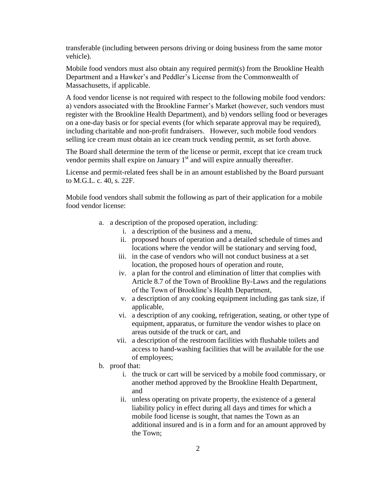transferable (including between persons driving or doing business from the same motor vehicle).

Mobile food vendors must also obtain any required permit(s) from the Brookline Health Department and a Hawker's and Peddler's License from the Commonwealth of Massachusetts, if applicable.

A food vendor license is not required with respect to the following mobile food vendors: a) vendors associated with the Brookline Farmer's Market (however, such vendors must register with the Brookline Health Department), and b) vendors selling food or beverages on a one-day basis or for special events (for which separate approval may be required), including charitable and non-profit fundraisers. However, such mobile food vendors selling ice cream must obtain an ice cream truck vending permit, as set forth above.

The Board shall determine the term of the license or permit, except that ice cream truck vendor permits shall expire on January  $1<sup>st</sup>$  and will expire annually thereafter.

License and permit-related fees shall be in an amount established by the Board pursuant to M.G.L. c. 40, s. 22F.

Mobile food vendors shall submit the following as part of their application for a mobile food vendor license:

- a. a description of the proposed operation, including:
	- i. a description of the business and a menu,
	- ii. proposed hours of operation and a detailed schedule of times and locations where the vendor will be stationary and serving food,
	- iii. in the case of vendors who will not conduct business at a set location, the proposed hours of operation and route,
	- iv. a plan for the control and elimination of litter that complies with Article 8.7 of the Town of Brookline By-Laws and the regulations of the Town of Brookline's Health Department,
	- v. a description of any cooking equipment including gas tank size, if applicable,
	- vi. a description of any cooking, refrigeration, seating, or other type of equipment, apparatus, or furniture the vendor wishes to place on areas outside of the truck or cart, and
	- vii. a description of the restroom facilities with flushable toilets and access to hand-washing facilities that will be available for the use of employees;
- b. proof that:
	- i. the truck or cart will be serviced by a mobile food commissary, or another method approved by the Brookline Health Department, and
	- ii. unless operating on private property, the existence of a general liability policy in effect during all days and times for which a mobile food license is sought, that names the Town as an additional insured and is in a form and for an amount approved by the Town;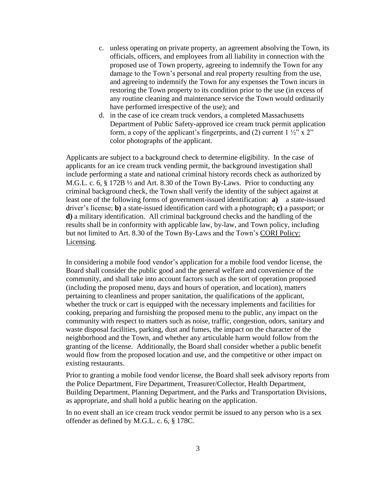- c. unless operating on private property, an agreement absolving the Town, its officials, officers, and employees from all liability in connection with the proposed use of Town property, agreeing to indemnify the Town for any damage to the Town's personal and real property resulting from the use, and agreeing to indemnify the Town for any expenses the Town incurs in restoring the Town property to its condition prior to the use (in excess of any routine cleaning and maintenance service the Town would ordinarily have performed irrespective of the use); and
- d. in the case of ice cream truck vendors, a completed Massachusetts Department of Public Safety-approved ice cream truck permit application form, a copy of the applicant's fingerprints, and (2) current  $1\frac{1}{2}$ " x 2" color photographs of the applicant.

Applicants are subject to a background check to determine eligibility. In the case of applicants for an ice cream truck vending permit, the background investigation shall include performing a state and national criminal history records check as authorized by M.G.L. c. 6, § 172B ½ and Art. 8.30 of the Town By-Laws. Prior to conducting any criminal background check, the Town shall verify the identity of the subject against at least one of the following forms of government-issued identification: **a)** a state-issued driver's license; **b)** a state-issued identification card with a photograph; **c)** a passport; or **d)** a military identification. All criminal background checks and the handling of the results shall be in conformity with applicable law, by-law, and Town policy, including but not limited to Art. 8.30 of the Town By-Laws and the Town's CORI Policy: Licensing.

In considering a mobile food vendor's application for a mobile food vendor license, the Board shall consider the public good and the general welfare and convenience of the community, and shall take into account factors such as the sort of operation proposed (including the proposed menu, days and hours of operation, and location), matters pertaining to cleanliness and proper sanitation, the qualifications of the applicant, whether the truck or cart is equipped with the necessary implements and facilities for cooking, preparing and furnishing the proposed menu to the public, any impact on the community with respect to matters such as noise, traffic, congestion, odors, sanitary and waste disposal facilities, parking, dust and fumes, the impact on the character of the neighborhood and the Town, and whether any articulable harm would follow from the granting of the license. Additionally, the Board shall consider whether a public benefit would flow from the proposed location and use, and the competitive or other impact on existing restaurants.

Prior to granting a mobile food vendor license, the Board shall seek advisory reports from the Police Department, Fire Department, Treasurer/Collector, Health Department, Building Department, Planning Department, and the Parks and Transportation Divisions, as appropriate, and shall hold a public hearing on the application.

In no event shall an ice cream truck vendor permit be issued to any person who is a sex offender as defined by M.G.L. c. 6, § 178C.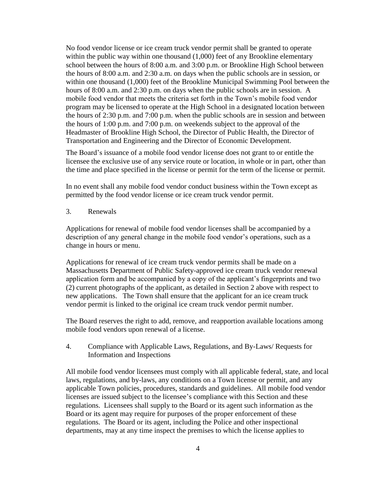No food vendor license or ice cream truck vendor permit shall be granted to operate within the public way within one thousand (1,000) feet of any Brookline elementary school between the hours of 8:00 a.m. and 3:00 p.m. or Brookline High School between the hours of 8:00 a.m. and 2:30 a.m. on days when the public schools are in session, or within one thousand (1,000) feet of the Brookline Municipal Swimming Pool between the hours of 8:00 a.m. and 2:30 p.m. on days when the public schools are in session. A mobile food vendor that meets the criteria set forth in the Town's mobile food vendor program may be licensed to operate at the High School in a designated location between the hours of 2:30 p.m. and 7:00 p.m. when the public schools are in session and between the hours of 1:00 p.m. and 7:00 p.m. on weekends subject to the approval of the Headmaster of Brookline High School, the Director of Public Health, the Director of Transportation and Engineering and the Director of Economic Development.

The Board's issuance of a mobile food vendor license does not grant to or entitle the licensee the exclusive use of any service route or location, in whole or in part, other than the time and place specified in the license or permit for the term of the license or permit.

In no event shall any mobile food vendor conduct business within the Town except as permitted by the food vendor license or ice cream truck vendor permit.

#### 3. Renewals

Applications for renewal of mobile food vendor licenses shall be accompanied by a description of any general change in the mobile food vendor's operations, such as a change in hours or menu.

Applications for renewal of ice cream truck vendor permits shall be made on a Massachusetts Department of Public Safety-approved ice cream truck vendor renewal application form and be accompanied by a copy of the applicant's fingerprints and two (2) current photographs of the applicant, as detailed in Section 2 above with respect to new applications. The Town shall ensure that the applicant for an ice cream truck vendor permit is linked to the original ice cream truck vendor permit number.

The Board reserves the right to add, remove, and reapportion available locations among mobile food vendors upon renewal of a license.

4. Compliance with Applicable Laws, Regulations, and By-Laws/ Requests for Information and Inspections

All mobile food vendor licensees must comply with all applicable federal, state, and local laws, regulations, and by-laws, any conditions on a Town license or permit, and any applicable Town policies, procedures, standards and guidelines. All mobile food vendor licenses are issued subject to the licensee's compliance with this Section and these regulations. Licensees shall supply to the Board or its agent such information as the Board or its agent may require for purposes of the proper enforcement of these regulations. The Board or its agent, including the Police and other inspectional departments, may at any time inspect the premises to which the license applies to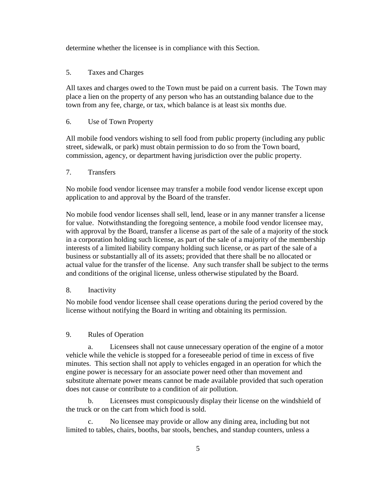determine whether the licensee is in compliance with this Section.

## 5. Taxes and Charges

All taxes and charges owed to the Town must be paid on a current basis. The Town may place a lien on the property of any person who has an outstanding balance due to the town from any fee, charge, or tax, which balance is at least six months due.

## 6. Use of Town Property

All mobile food vendors wishing to sell food from public property (including any public street, sidewalk, or park) must obtain permission to do so from the Town board, commission, agency, or department having jurisdiction over the public property.

#### 7. Transfers

No mobile food vendor licensee may transfer a mobile food vendor license except upon application to and approval by the Board of the transfer.

No mobile food vendor licenses shall sell, lend, lease or in any manner transfer a license for value. Notwithstanding the foregoing sentence, a mobile food vendor licensee may, with approval by the Board, transfer a license as part of the sale of a majority of the stock in a corporation holding such license, as part of the sale of a majority of the membership interests of a limited liability company holding such license, or as part of the sale of a business or substantially all of its assets; provided that there shall be no allocated or actual value for the transfer of the license. Any such transfer shall be subject to the terms and conditions of the original license, unless otherwise stipulated by the Board.

## 8. Inactivity

No mobile food vendor licensee shall cease operations during the period covered by the license without notifying the Board in writing and obtaining its permission.

## 9. Rules of Operation

a. Licensees shall not cause unnecessary operation of the engine of a motor vehicle while the vehicle is stopped for a foreseeable period of time in excess of five minutes. This section shall not apply to vehicles engaged in an operation for which the engine power is necessary for an associate power need other than movement and substitute alternate power means cannot be made available provided that such operation does not cause or contribute to a condition of air pollution.

b. Licensees must conspicuously display their license on the windshield of the truck or on the cart from which food is sold.

No licensee may provide or allow any dining area, including but not limited to tables, chairs, booths, bar stools, benches, and standup counters, unless a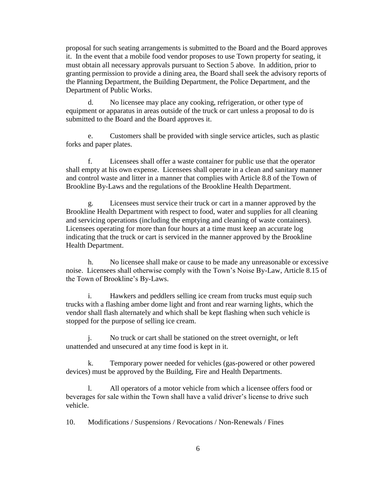proposal for such seating arrangements is submitted to the Board and the Board approves it. In the event that a mobile food vendor proposes to use Town property for seating, it must obtain all necessary approvals pursuant to Section 5 above. In addition, prior to granting permission to provide a dining area, the Board shall seek the advisory reports of the Planning Department, the Building Department, the Police Department, and the Department of Public Works.

d. No licensee may place any cooking, refrigeration, or other type of equipment or apparatus in areas outside of the truck or cart unless a proposal to do is submitted to the Board and the Board approves it.

e. Customers shall be provided with single service articles, such as plastic forks and paper plates.

f. Licensees shall offer a waste container for public use that the operator shall empty at his own expense. Licensees shall operate in a clean and sanitary manner and control waste and litter in a manner that complies with Article 8.8 of the Town of Brookline By-Laws and the regulations of the Brookline Health Department.

g. Licensees must service their truck or cart in a manner approved by the Brookline Health Department with respect to food, water and supplies for all cleaning and servicing operations (including the emptying and cleaning of waste containers). Licensees operating for more than four hours at a time must keep an accurate log indicating that the truck or cart is serviced in the manner approved by the Brookline Health Department.

h. No licensee shall make or cause to be made any unreasonable or excessive noise. Licensees shall otherwise comply with the Town's Noise By-Law, Article 8.15 of the Town of Brookline's By-Laws.

i. Hawkers and peddlers selling ice cream from trucks must equip such trucks with a flashing amber dome light and front and rear warning lights, which the vendor shall flash alternately and which shall be kept flashing when such vehicle is stopped for the purpose of selling ice cream.

j. No truck or cart shall be stationed on the street overnight, or left unattended and unsecured at any time food is kept in it.

k. Temporary power needed for vehicles (gas-powered or other powered devices) must be approved by the Building, Fire and Health Departments.

l. All operators of a motor vehicle from which a licensee offers food or beverages for sale within the Town shall have a valid driver's license to drive such vehicle.

10. Modifications / Suspensions / Revocations / Non-Renewals / Fines